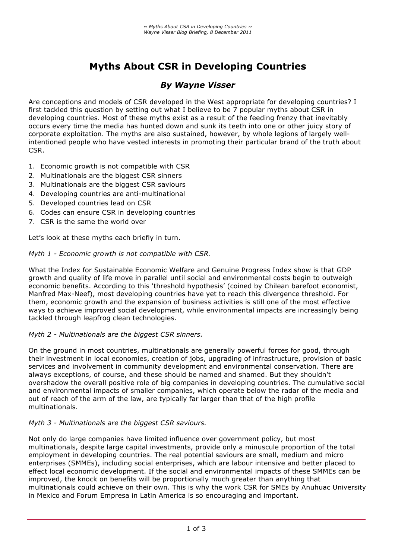# **Myths About CSR in Developing Countries**

# *By Wayne Visser*

Are conceptions and models of CSR developed in the West appropriate for developing countries? I first tackled this question by setting out what I believe to be 7 popular myths about CSR in developing countries. Most of these myths exist as a result of the feeding frenzy that inevitably occurs every time the media has hunted down and sunk its teeth into one or other juicy story of corporate exploitation. The myths are also sustained, however, by whole legions of largely wellintentioned people who have vested interests in promoting their particular brand of the truth about CSR.

- 1. Economic growth is not compatible with CSR
- 2. Multinationals are the biggest CSR sinners
- 3. Multinationals are the biggest CSR saviours
- 4. Developing countries are anti-multinational
- 5. Developed countries lead on CSR
- 6. Codes can ensure CSR in developing countries
- 7. CSR is the same the world over

Let's look at these myths each briefly in turn.

# *Myth 1 - Economic growth is not compatible with CSR.*

What the Index for Sustainable Economic Welfare and Genuine Progress Index show is that GDP growth and quality of life move in parallel until social and environmental costs begin to outweigh economic benefits. According to this 'threshold hypothesis' (coined by Chilean barefoot economist, Manfred Max-Neef), most developing countries have yet to reach this divergence threshold. For them, economic growth and the expansion of business activities is still one of the most effective ways to achieve improved social development, while environmental impacts are increasingly being tackled through leapfrog clean technologies.

# *Myth 2 - Multinationals are the biggest CSR sinners.*

On the ground in most countries, multinationals are generally powerful forces for good, through their investment in local economies, creation of jobs, upgrading of infrastructure, provision of basic services and involvement in community development and environmental conservation. There are always exceptions, of course, and these should be named and shamed. But they shouldn't overshadow the overall positive role of big companies in developing countries. The cumulative social and environmental impacts of smaller companies, which operate below the radar of the media and out of reach of the arm of the law, are typically far larger than that of the high profile multinationals.

# *Myth 3 - Multinationals are the biggest CSR saviours.*

Not only do large companies have limited influence over government policy, but most multinationals, despite large capital investments, provide only a minuscule proportion of the total employment in developing countries. The real potential saviours are small, medium and micro enterprises (SMMEs), including social enterprises, which are labour intensive and better placed to effect local economic development. If the social and environmental impacts of these SMMEs can be improved, the knock on benefits will be proportionally much greater than anything that multinationals could achieve on their own. This is why the work CSR for SMEs by Anuhuac University in Mexico and Forum Empresa in Latin America is so encouraging and important.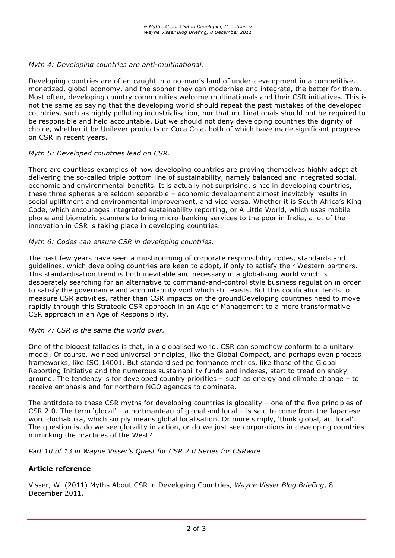#### *Myth 4: Developing countries are anti-multinational.*

Developing countries are often caught in a no-man's land of under-development in a competitive, monetized, global economy, and the sooner they can modernise and integrate, the better for them. Most often, developing country communities welcome multinationals and their CSR initiatives. This is not the same as saying that the developing world should repeat the past mistakes of the developed countries, such as highly polluting industrialisation, nor that multinationals should not be required to be responsible and held accountable. But we should not deny developing countries the dignity of choice, whether it be Unilever products or Coca Cola, both of which have made significant progress on CSR in recent years.

#### *Myth 5: Developed countries lead on CSR.*

There are countless examples of how developing countries are proving themselves highly adept at delivering the so-called triple bottom line of sustainability, namely balanced and integrated social, economic and environmental benefits. It is actually not surprising, since in developing countries, these three spheres are seldom separable – economic development almost inevitably results in social upliftment and environmental improvement, and vice versa. Whether it is South Africa's King Code, which encourages integrated sustainability reporting, or A Little World, which uses mobile phone and biometric scanners to bring micro-banking services to the poor in India, a lot of the innovation in CSR is taking place in developing countries.

#### *Myth 6: Codes can ensure CSR in developing countries.*

The past few years have seen a mushrooming of corporate responsibility codes, standards and guidelines, which developing countries are keen to adopt, if only to satisfy their Western partners. This standardisation trend is both inevitable and necessary in a globalising world which is desperately searching for an alternative to command-and-control style business regulation in order to satisfy the governance and accountability void which still exists. But this codification tends to measure CSR activities, rather than CSR impacts on the groundDeveloping countries need to move rapidly through this Strategic CSR approach in an Age of Management to a more transformative CSR approach in an Age of Responsibility.

#### *Myth 7: CSR is the same the world over.*

One of the biggest fallacies is that, in a globalised world, CSR can somehow conform to a unitary model. Of course, we need universal principles, like the Global Compact, and perhaps even process frameworks, like ISO 14001. But standardised performance metrics, like those of the Global Reporting Initiative and the numerous sustainability funds and indexes, start to tread on shaky ground. The tendency is for developed country priorities – such as energy and climate change – to receive emphasis and for northern NGO agendas to dominate.

The antitdote to these CSR myths for developing countries is glocality – one of the five principles of CSR 2.0. The term 'glocal' – a portmanteau of global and local – is said to come from the Japanese word dochakuka, which simply means global localisation. Or more simply, 'think global, act local'. The question is, do we see glocality in action, or do we just see corporations in developing countries mimicking the practices of the West?

*Part 10 of 13 in Wayne Visser's Quest for CSR 2.0 Series for CSRwire*

# **Article reference**

Visser, W. (2011) Myths About CSR in Developing Countries, *Wayne Visser Blog Briefing*, 8 December 2011.